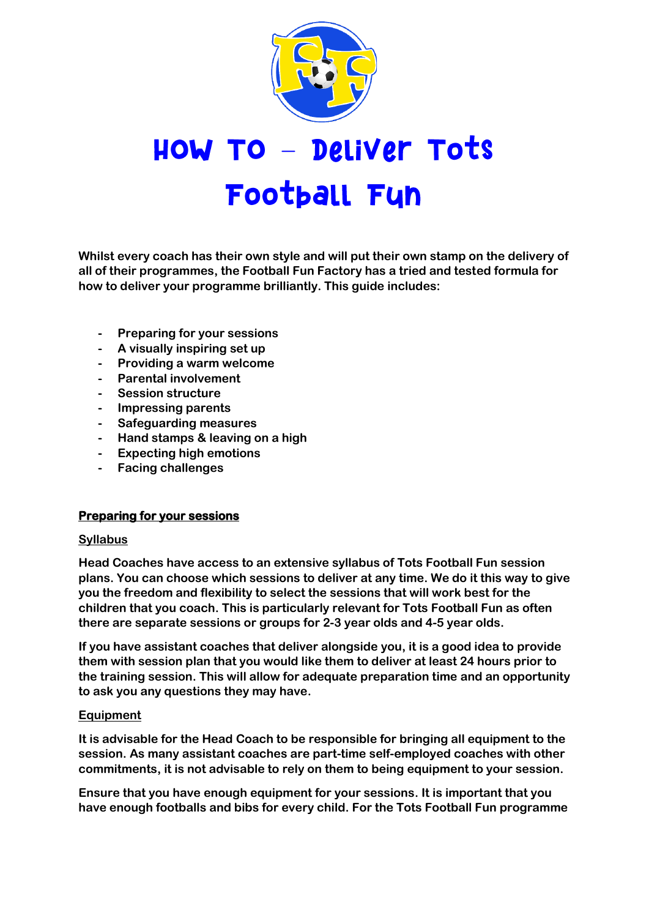

# **HOW TO – Deliver Tots** Football Fun

**Whilst every coach has their own style and will put their own stamp on the delivery of all of their programmes, the Football Fun Factory has a tried and tested formula for how to deliver your programme brilliantly. This guide includes:**

- **- Preparing for your sessions**
- **- A visually inspiring set up**
- **- Providing a warm welcome**
- **- Parental involvement**
- **- Session structure**
- **- Impressing parents**
- **- Safeguarding measures**
- **- Hand stamps & leaving on a high**
- **- Expecting high emotions**
- **- Facing challenges**

# **Preparing for your sessions**

### **Syllabus**

**Head Coaches have access to an extensive syllabus of Tots Football Fun session plans. You can choose which sessions to deliver at any time. We do it this way to give you the freedom and flexibility to select the sessions that will work best for the children that you coach. This is particularly relevant for Tots Football Fun as often there are separate sessions or groups for 2-3 year olds and 4-5 year olds.** 

**If you have assistant coaches that deliver alongside you, it is a good idea to provide them with session plan that you would like them to deliver at least 24 hours prior to the training session. This will allow for adequate preparation time and an opportunity to ask you any questions they may have.**

### **Equipment**

**It is advisable for the Head Coach to be responsible for bringing all equipment to the session. As many assistant coaches are part-time self-employed coaches with other commitments, it is not advisable to rely on them to being equipment to your session.** 

**Ensure that you have enough equipment for your sessions. It is important that you have enough footballs and bibs for every child. For the Tots Football Fun programme**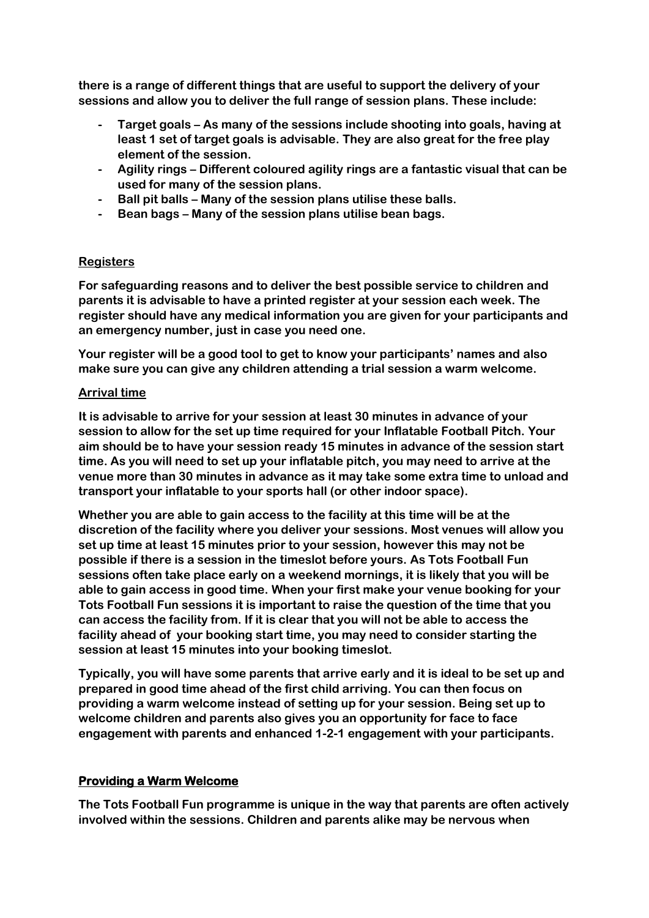**there is a range of different things that are useful to support the delivery of your sessions and allow you to deliver the full range of session plans. These include:**

- **- Target goals – As many of the sessions include shooting into goals, having at least 1 set of target goals is advisable. They are also great for the free play element of the session.**
- **- Agility rings – Different coloured agility rings are a fantastic visual that can be used for many of the session plans.**
- **- Ball pit balls – Many of the session plans utilise these balls.**
- **- Bean bags – Many of the session plans utilise bean bags.**

## **Registers**

**For safeguarding reasons and to deliver the best possible service to children and parents it is advisable to have a printed register at your session each week. The register should have any medical information you are given for your participants and an emergency number, just in case you need one.**

**Your register will be a good tool to get to know your participants' names and also make sure you can give any children attending a trial session a warm welcome.** 

### **Arrival time**

**It is advisable to arrive for your session at least 30 minutes in advance of your session to allow for the set up time required for your Inflatable Football Pitch. Your aim should be to have your session ready 15 minutes in advance of the session start time. As you will need to set up your inflatable pitch, you may need to arrive at the venue more than 30 minutes in advance as it may take some extra time to unload and transport your inflatable to your sports hall (or other indoor space).**

**Whether you are able to gain access to the facility at this time will be at the discretion of the facility where you deliver your sessions. Most venues will allow you set up time at least 15 minutes prior to your session, however this may not be possible if there is a session in the timeslot before yours. As Tots Football Fun sessions often take place early on a weekend mornings, it is likely that you will be able to gain access in good time. When your first make your venue booking for your Tots Football Fun sessions it is important to raise the question of the time that you can access the facility from. If it is clear that you will not be able to access the facility ahead of your booking start time, you may need to consider starting the session at least 15 minutes into your booking timeslot.**

**Typically, you will have some parents that arrive early and it is ideal to be set up and prepared in good time ahead of the first child arriving. You can then focus on providing a warm welcome instead of setting up for your session. Being set up to welcome children and parents also gives you an opportunity for face to face engagement with parents and enhanced 1-2-1 engagement with your participants.**

# **Providing a Warm Welcome**

**The Tots Football Fun programme is unique in the way that parents are often actively involved within the sessions. Children and parents alike may be nervous when**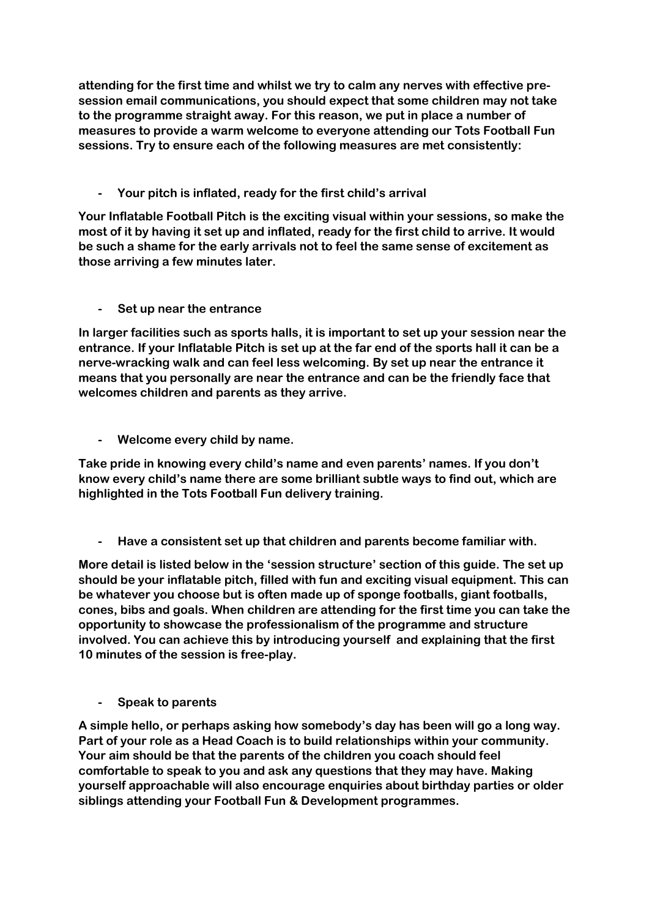**attending for the first time and whilst we try to calm any nerves with effective presession email communications, you should expect that some children may not take to the programme straight away. For this reason, we put in place a number of measures to provide a warm welcome to everyone attending our Tots Football Fun sessions. Try to ensure each of the following measures are met consistently:**

**- Your pitch is inflated, ready for the first child's arrival**

**Your Inflatable Football Pitch is the exciting visual within your sessions, so make the most of it by having it set up and inflated, ready for the first child to arrive. It would be such a shame for the early arrivals not to feel the same sense of excitement as those arriving a few minutes later.**

**- Set up near the entrance**

**In larger facilities such as sports halls, it is important to set up your session near the entrance. If your Inflatable Pitch is set up at the far end of the sports hall it can be a nerve-wracking walk and can feel less welcoming. By set up near the entrance it means that you personally are near the entrance and can be the friendly face that welcomes children and parents as they arrive.**

**- Welcome every child by name.**

**Take pride in knowing every child's name and even parents' names. If you don't know every child's name there are some brilliant subtle ways to find out, which are highlighted in the Tots Football Fun delivery training.**

**- Have a consistent set up that children and parents become familiar with.**

**More detail is listed below in the 'session structure' section of this guide. The set up should be your inflatable pitch, filled with fun and exciting visual equipment. This can be whatever you choose but is often made up of sponge footballs, giant footballs, cones, bibs and goals. When children are attending for the first time you can take the opportunity to showcase the professionalism of the programme and structure involved. You can achieve this by introducing yourself and explaining that the first 10 minutes of the session is free-play.** 

**- Speak to parents**

**A simple hello, or perhaps asking how somebody's day has been will go a long way. Part of your role as a Head Coach is to build relationships within your community. Your aim should be that the parents of the children you coach should feel comfortable to speak to you and ask any questions that they may have. Making yourself approachable will also encourage enquiries about birthday parties or older siblings attending your Football Fun & Development programmes.**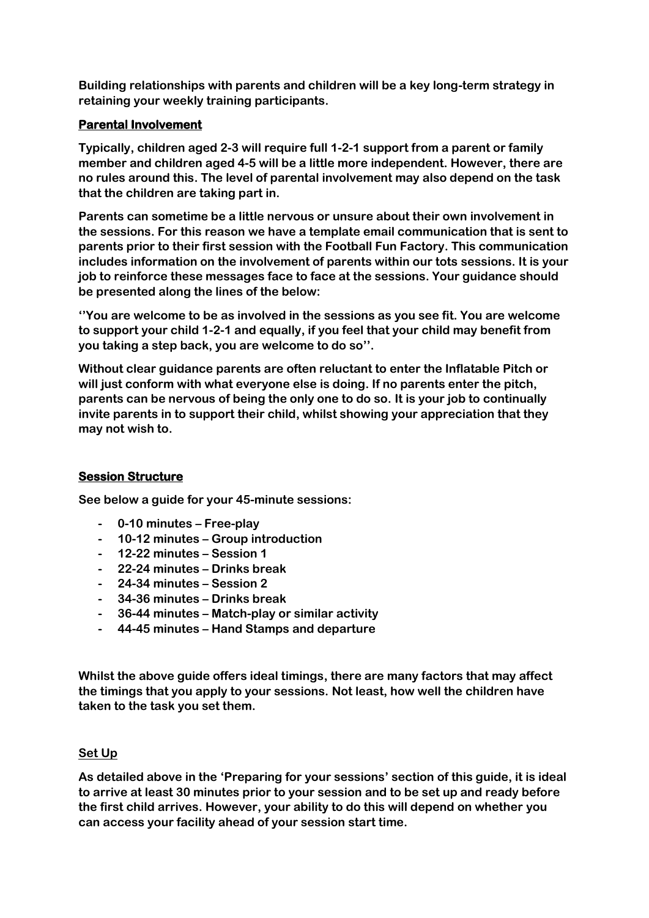**Building relationships with parents and children will be a key long-term strategy in retaining your weekly training participants.**

## **Parental Involvement**

**Typically, children aged 2-3 will require full 1-2-1 support from a parent or family member and children aged 4-5 will be a little more independent. However, there are no rules around this. The level of parental involvement may also depend on the task that the children are taking part in.** 

**Parents can sometime be a little nervous or unsure about their own involvement in the sessions. For this reason we have a template email communication that is sent to parents prior to their first session with the Football Fun Factory. This communication includes information on the involvement of parents within our tots sessions. It is your job to reinforce these messages face to face at the sessions. Your guidance should be presented along the lines of the below:**

**''You are welcome to be as involved in the sessions as you see fit. You are welcome to support your child 1-2-1 and equally, if you feel that your child may benefit from you taking a step back, you are welcome to do so''.**

**Without clear guidance parents are often reluctant to enter the Inflatable Pitch or will just conform with what everyone else is doing. If no parents enter the pitch, parents can be nervous of being the only one to do so. It is your job to continually invite parents in to support their child, whilst showing your appreciation that they may not wish to.**

# **Session Structure**

**See below a guide for your 45-minute sessions:**

- **- 0-10 minutes – Free-play**
- **- 10-12 minutes – Group introduction**
- **- 12-22 minutes – Session 1**
- **- 22-24 minutes – Drinks break**
- **- 24-34 minutes – Session 2**
- **- 34-36 minutes – Drinks break**
- **- 36-44 minutes – Match-play or similar activity**
- **- 44-45 minutes – Hand Stamps and departure**

**Whilst the above guide offers ideal timings, there are many factors that may affect the timings that you apply to your sessions. Not least, how well the children have taken to the task you set them.**

### **Set Up**

**As detailed above in the 'Preparing for your sessions' section of this guide, it is ideal to arrive at least 30 minutes prior to your session and to be set up and ready before the first child arrives. However, your ability to do this will depend on whether you can access your facility ahead of your session start time.**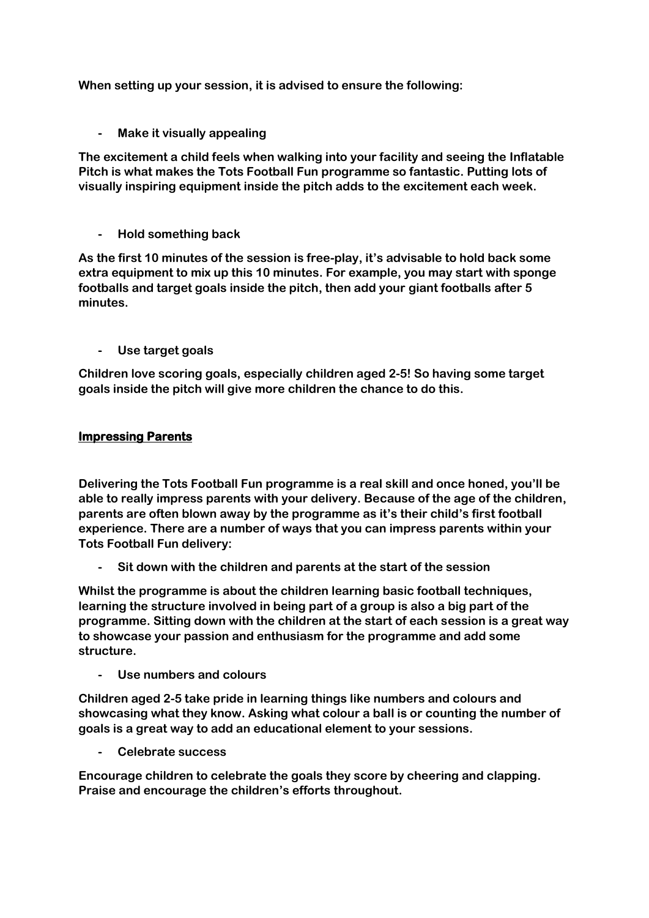**When setting up your session, it is advised to ensure the following:**

**- Make it visually appealing**

**The excitement a child feels when walking into your facility and seeing the Inflatable Pitch is what makes the Tots Football Fun programme so fantastic. Putting lots of visually inspiring equipment inside the pitch adds to the excitement each week.**

**- Hold something back**

**As the first 10 minutes of the session is free-play, it's advisable to hold back some extra equipment to mix up this 10 minutes. For example, you may start with sponge footballs and target goals inside the pitch, then add your giant footballs after 5 minutes.**

**- Use target goals**

**Children love scoring goals, especially children aged 2-5! So having some target goals inside the pitch will give more children the chance to do this.** 

## **Impressing Parents**

**Delivering the Tots Football Fun programme is a real skill and once honed, you'll be able to really impress parents with your delivery. Because of the age of the children, parents are often blown away by the programme as it's their child's first football experience. There are a number of ways that you can impress parents within your Tots Football Fun delivery:**

**- Sit down with the children and parents at the start of the session**

**Whilst the programme is about the children learning basic football techniques, learning the structure involved in being part of a group is also a big part of the programme. Sitting down with the children at the start of each session is a great way to showcase your passion and enthusiasm for the programme and add some structure.**

**- Use numbers and colours**

**Children aged 2-5 take pride in learning things like numbers and colours and showcasing what they know. Asking what colour a ball is or counting the number of goals is a great way to add an educational element to your sessions.**

**- Celebrate success**

**Encourage children to celebrate the goals they score by cheering and clapping. Praise and encourage the children's efforts throughout.**